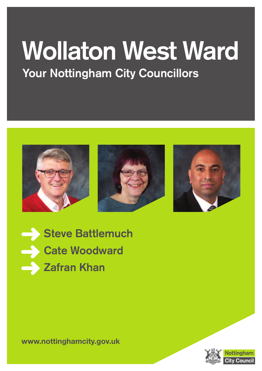# **Wollaton West Ward Your Nottingham City Councillors**









**www.nottinghamcity.gov.uk**



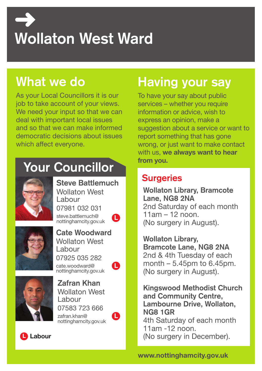# **Wollaton West Ward**

## **What we do**

As your Local Councillors it is our job to take account of your views. We need your input so that we can deal with important local issues and so that we can make informed democratic decisions about issues which affect everyone.

## **Your Councillor**



**L Steve Battlemuch** Wollaton West Labour 07981 032 031 steve.battlemuch@ nottinghamcity.gov.uk



**Cate Woodward** Wollaton West Labour 07925 035 282 cate.woodward@ nottinghamcity.gov.uk



**Zafran Khan** Wollaton West Labour 07583 723 666

zafran.khan@ nottinghamcity.gov.uk



**L**

# **Having your say**

To have your say about public services – whether you require information or advice, wish to express an opinion, make a suggestion about a service or want to report something that has gone wrong, or just want to make contact with us, **we always want to hear from you.**

#### **Surgeries**

**Wollaton Library, Bramcote Lane, NG8 2NA** 2nd Saturday of each month 11am – 12 noon. (No surgery in August).

**Wollaton Library, Bramcote Lane, NG8 2NA** 2nd & 4th Tuesday of each month  $-5.45$ pm to 6.45pm. (No surgery in August).

**Kingswood Methodist Church and Community Centre, Lambourne Drive, Wollaton, NG8 1GR** 4th Saturday of each month 11am -12 noon. (No surgery in December).



**www.nottinghamcity.gov.uk**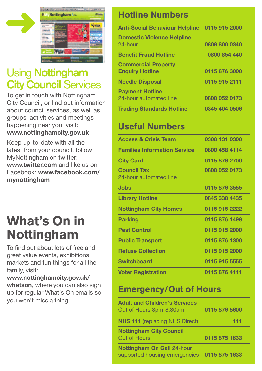

## Using **Nottingham City Council** Services

To get in touch with Nottingham City Council, or find out information about council services, as well as groups, activities and meetings happening near you, visit: **www.nottinghamcity.gov.uk**

Keep up-to-date with all the latest from your council, follow MyNottingham on twitter: **www.twitter.com** and like us on Facebook: **www.facebook.com/ mynottingham**

# **What's On in Nottingham**

To find out about lots of free and great value events, exhibitions, markets and fun things for all the family, visit:

**www.nottinghamcity.gov.uk/ whatson**, where you can also sign up for regular What's On emails so you won't miss a thing!

#### **Hotline Numbers**

| Anti-Social Behaviour Helpline 0115 915 2000         |               |
|------------------------------------------------------|---------------|
| <b>Domestic Violence Helpline</b><br>24-hour         | 0808 800 0340 |
| <b>Benefit Fraud Hotline</b>                         | 0800 854 440  |
| <b>Commercial Property</b><br><b>Enquiry Hotline</b> | 0115 876 3000 |
| <b>Needle Disposal</b>                               | 0115 915 2111 |
| <b>Payment Hotline</b><br>24-hour automated line     | 0800 052 0173 |
| <b>Trading Standards Hotline</b>                     | 0345 404 0506 |

#### **Useful Numbers**

| <b>Access &amp; Crisis Team</b>              | 0300 131 0300 |
|----------------------------------------------|---------------|
| <b>Families Information Service</b>          | 0800 458 4114 |
| <b>City Card</b>                             | 0115 876 2700 |
| <b>Council Tax</b><br>24-hour automated line | 0800 052 0173 |
| Jobs                                         | 0115 876 3555 |
| <b>Library Hotline</b>                       | 0845 330 4435 |
| <b>Nottingham City Homes</b>                 | 0115 915 2222 |
| <b>Parking</b>                               | 0115 876 1499 |
| <b>Pest Control</b>                          | 0115 915 2000 |
| <b>Public Transport</b>                      | 0115 876 1300 |
| <b>Refuse Collection</b>                     | 0115 915 2000 |
| <b>Switchboard</b>                           | 0115 915 5555 |
| <b>Voter Registration</b>                    | 0115 876 4111 |

#### **Emergency/Out of Hours**

| <b>Adult and Children's Services</b><br>Out of Hours 8pm-8:30am    | 0115 876 5600 |
|--------------------------------------------------------------------|---------------|
| <b>NHS 111</b> (replacing NHS Direct)                              | 111           |
| <b>Nottingham City Council</b><br>Out of Hours                     | 0115 875 1633 |
| <b>Nottingham On Call 24-hour</b><br>supported housing emergencies | 0115 875 1633 |